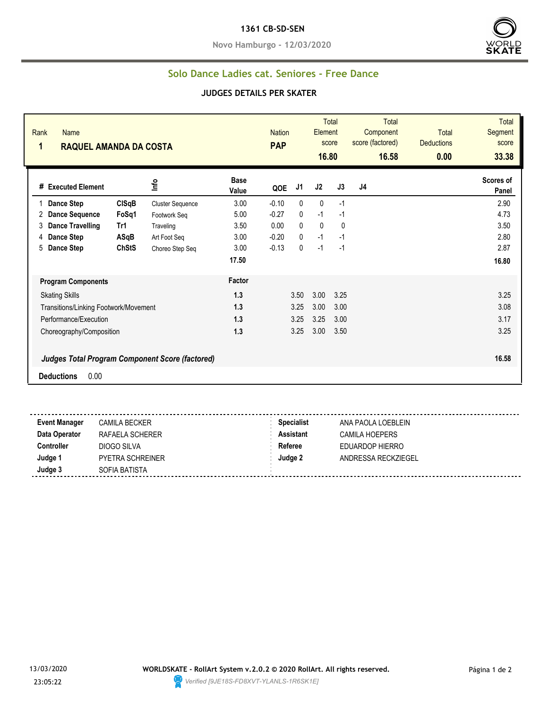#### **1361 CB-SD-SEN**

**Novo Hamburgo - 12/03/2020**



### **Solo Dance Ladies cat. Seniores - Free Dance**

### **JUDGES DETAILS PER SKATER**

| Rank<br><b>Name</b><br>1<br><b>RAQUEL AMANDA DA COSTA</b> |                                                        |                         |                      | <b>Nation</b><br><b>PAP</b> |                | Element<br>16.80 | <b>Total</b><br>score | <b>Total</b><br>Component<br>score (factored)<br>16.58 | <b>Total</b><br><b>Deductions</b><br>0.00 | <b>Total</b><br><b>Segment</b><br>score<br>33.38 |
|-----------------------------------------------------------|--------------------------------------------------------|-------------------------|----------------------|-----------------------------|----------------|------------------|-----------------------|--------------------------------------------------------|-------------------------------------------|--------------------------------------------------|
| # Executed Element                                        |                                                        | Info                    | <b>Base</b><br>Value | QOE                         | J <sub>1</sub> | J2               | J3                    | J4                                                     |                                           | Scores of<br>Panel                               |
| Dance Step                                                | <b>CISqB</b>                                           | <b>Cluster Sequence</b> | 3.00                 | $-0.10$                     | $\mathbf{0}$   | $\mathbf{0}$     | $-1$                  |                                                        |                                           | 2.90                                             |
| <b>Dance Sequence</b><br>2                                | FoSq1                                                  | Footwork Seq            | 5.00                 | $-0.27$                     | 0              | $-1$             | $-1$                  |                                                        |                                           | 4.73                                             |
| Dance Travelling<br>3                                     | Tr1                                                    | Traveling               | 3.50                 | 0.00                        | 0              | $\mathbf 0$      | 0                     |                                                        |                                           | 3.50                                             |
| <b>Dance Step</b><br>4                                    | ASqB                                                   | Art Foot Seg            | 3.00                 | $-0.20$                     | $\mathbf{0}$   | $-1$             | $-1$                  |                                                        |                                           | 2.80                                             |
| Dance Step<br>5                                           | <b>ChStS</b>                                           | Choreo Step Seq         | 3.00                 | $-0.13$                     | 0              | $-1$             | $-1$                  |                                                        |                                           | 2.87                                             |
|                                                           |                                                        |                         | 17.50                |                             |                |                  |                       |                                                        |                                           | 16.80                                            |
| <b>Program Components</b>                                 | Factor                                                 |                         |                      |                             |                |                  |                       |                                                        |                                           |                                                  |
| <b>Skating Skills</b>                                     |                                                        |                         |                      |                             | 3.50           | 3.00             | 3.25                  |                                                        |                                           | 3.25                                             |
| Transitions/Linking Footwork/Movement                     |                                                        |                         | 1.3                  |                             | 3.25           | 3.00             | 3.00                  |                                                        |                                           | 3.08                                             |
| Performance/Execution                                     |                                                        |                         |                      |                             | 3.25           | 3.25             | 3.00                  |                                                        |                                           | 3.17                                             |
| Choreography/Composition                                  |                                                        |                         | 1.3                  |                             | 3.25           | 3.00             | 3.50                  |                                                        |                                           | 3.25                                             |
|                                                           | <b>Judges Total Program Component Score (factored)</b> |                         |                      |                             |                |                  |                       |                                                        |                                           | 16.58                                            |
| <b>Deductions</b><br>0.00                                 |                                                        |                         |                      |                             |                |                  |                       |                                                        |                                           |                                                  |
|                                                           |                                                        |                         |                      |                             |                |                  |                       |                                                        |                                           |                                                  |

| <b>Event Manager</b> | <b>CAMILA BECKER</b>    | <b>Specialist</b> | ANA PAOLA LOEBLEIN  |
|----------------------|-------------------------|-------------------|---------------------|
| Data Operator        | RAFAELA SCHERER         | Assistant         | CAMILA HOEPERS      |
| Controller           | DIOGO SILVA             | Referee           | EDUARDOP HIERRO     |
| Judge                | <b>PYETRA SCHREINER</b> | Judge 2           | ANDRESSA RECKZIEGEL |
| Judge 3              | SOFIA BATISTA           |                   |                     |
|                      |                         |                   |                     |